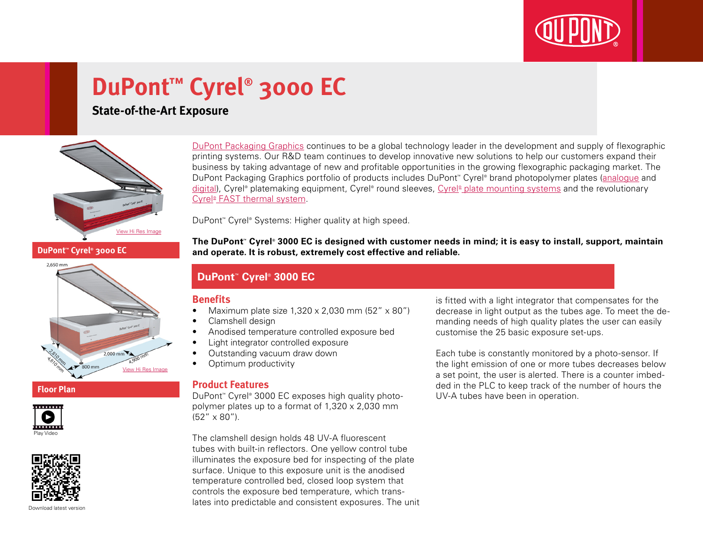

# **DuPont™ Cyrel® 3000 EC**

## **State-of-the-Art Exposure**



[DuPont Packaging Graphics](http://www2.dupont.com/Packaging_Graphics/en_AU/index.html) continues to be a global technology leader in the development and supply of flexographic printing systems. Our R&D team continues to develop innovative new solutions to help our customers expand their business by taking advantage of new and profitable opportunities in the growing flexographic packaging market. The DuPont Packaging Graphics portfolio of products includes DuPont™ Cyrel® brand photopolymer plates ([analogue](http://www2.dupont.com/Packaging_Graphics/en_AU/products/solvent_platemaking/index.html) and [digital\)](http://www2.dupont.com/Packaging_Graphics/en_AU/products/digital_wkflow/digital_workflow.html), Cyrel® platemaking equipment, Cyrel® round sleeves, Cyrel® [plate mounting systems](http://www2.dupont.com/Packaging_Graphics/en_AU/products/mounting_systems/index.html) and the revolutionary Cyrel<sup>®</sup> [FAST thermal system.](http://www2.dupont.com/Packaging_Graphics/en_AU/products/thermal_platemaking/index.html)

DuPont™ Cyrel® Systems: Higher quality at high speed.

**The DuPont™ Cyrel® 3000 EC is designed with customer needs in mind; it is easy to install, support, maintain and operate. It is robust, extremely cost effective and reliable.**

### **DuPont™ Cyrel® 3000 EC**

#### **Benefits**

- Maximum plate size  $1.320 \times 2.030$  mm  $(52'' \times 80'')$
- Clamshell design
- • Anodised temperature controlled exposure bed
- Light integrator controlled exposure
- Outstanding vacuum draw down
- Optimum productivity

#### **Product Features**

DuPont™ Cyrel® 3000 EC exposes high quality photopolymer plates up to a format of 1,320 x 2,030 mm  $(52'' \times 80'')$ .

The clamshell design holds 48 UV-A fluorescent tubes with built-in reflectors. One yellow control tube illuminates the exposure bed for inspecting of the plate surface. Unique to this exposure unit is the anodised temperature controlled bed, closed loop system that controls the exposure bed temperature, which translates into predictable and consistent exposures. The unit is fitted with a light integrator that compensates for the decrease in light output as the tubes age. To meet the demanding needs of high quality plates the user can easily customise the 25 basic exposure set-ups.

Each tube is constantly monitored by a photo-sensor. If the light emission of one or more tubes decreases below a set point, the user is alerted. There is a counter imbedded in the PLC to keep track of the number of hours the UV-A tubes have been in operation.

**DuPont™ Cyrel® 3000 EC**



#### **Floor Plan**





Download latest versio